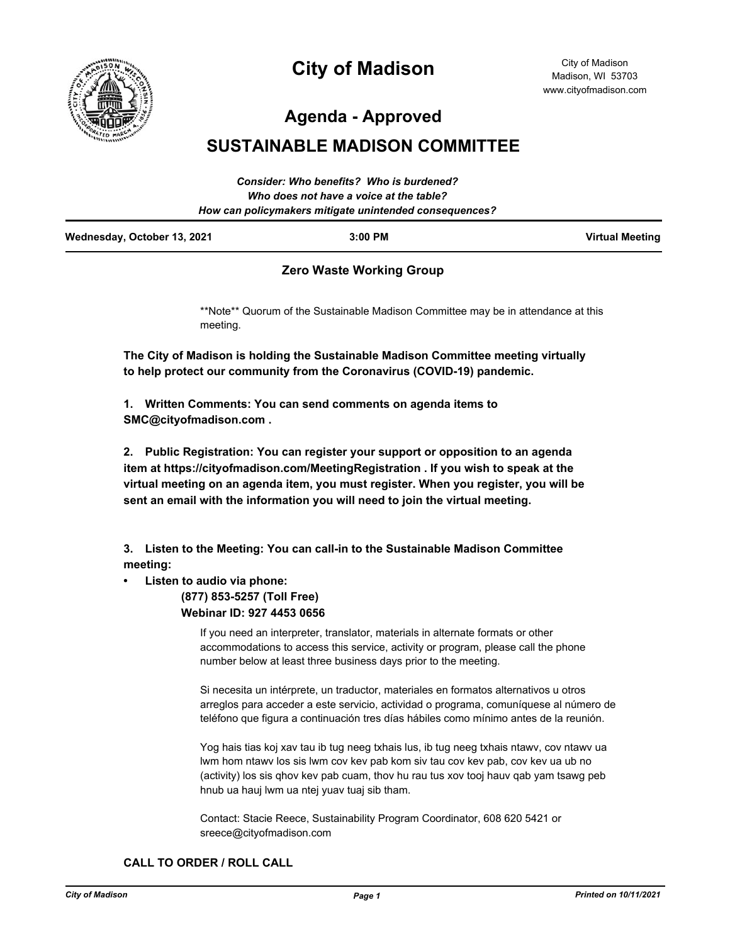

# **City of Madison**

City of Madison Madison, WI 53703 www.cityofmadison.com

**Agenda - Approved**

## **SUSTAINABLE MADISON COMMITTEE**

|                             | Consider: Who benefits? Who is burdened?<br>Who does not have a voice at the table? |                        |
|-----------------------------|-------------------------------------------------------------------------------------|------------------------|
|                             | How can policymakers mitigate unintended consequences?                              |                        |
| Wednesday, October 13, 2021 | $3:00$ PM                                                                           | <b>Virtual Meeting</b> |

### **Zero Waste Working Group**

\*\*Note\*\* Quorum of the Sustainable Madison Committee may be in attendance at this meeting.

**The City of Madison is holding the Sustainable Madison Committee meeting virtually to help protect our community from the Coronavirus (COVID-19) pandemic.**

**1. Written Comments: You can send comments on agenda items to SMC@cityofmadison.com .**

**2. Public Registration: You can register your support or opposition to an agenda item at https://cityofmadison.com/MeetingRegistration . If you wish to speak at the virtual meeting on an agenda item, you must register. When you register, you will be sent an email with the information you will need to join the virtual meeting.**

**3. Listen to the Meeting: You can call-in to the Sustainable Madison Committee meeting:**

#### **• Listen to audio via phone:**

 **(877) 853-5257 (Toll Free) Webinar ID: 927 4453 0656**

> If you need an interpreter, translator, materials in alternate formats or other accommodations to access this service, activity or program, please call the phone number below at least three business days prior to the meeting.

Si necesita un intérprete, un traductor, materiales en formatos alternativos u otros arreglos para acceder a este servicio, actividad o programa, comuníquese al número de teléfono que figura a continuación tres días hábiles como mínimo antes de la reunión.

Yog hais tias koj xav tau ib tug neeg txhais lus, ib tug neeg txhais ntawv, cov ntawv ua lwm hom ntawv los sis lwm cov kev pab kom siv tau cov kev pab, cov kev ua ub no (activity) los sis qhov kev pab cuam, thov hu rau tus xov tooj hauv qab yam tsawg peb hnub ua hauj lwm ua ntej yuav tuaj sib tham.

Contact: Stacie Reece, Sustainability Program Coordinator, 608 620 5421 or sreece@cityofmadison.com

#### **CALL TO ORDER / ROLL CALL**